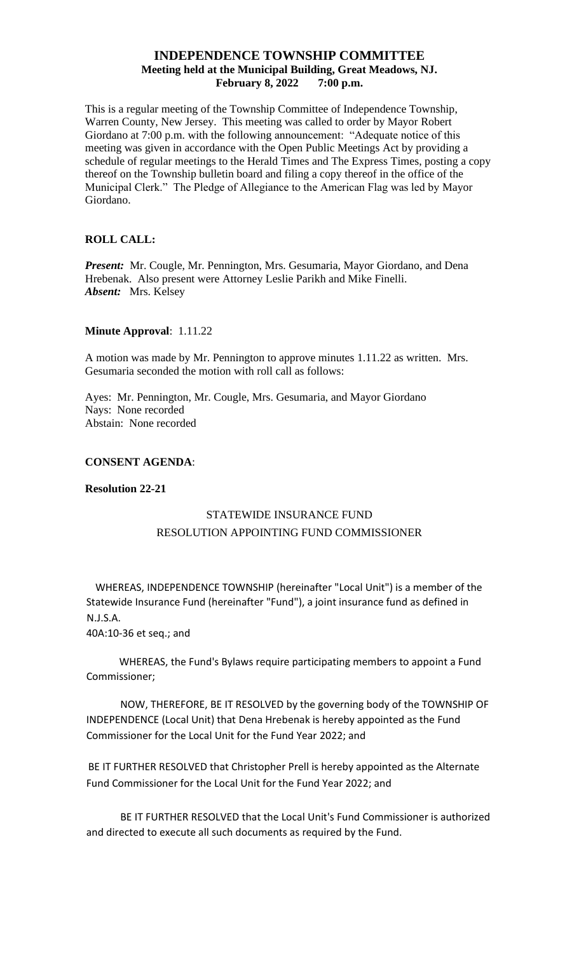# **INDEPENDENCE TOWNSHIP COMMITTEE Meeting held at the Municipal Building, Great Meadows, NJ. February 8, 2022 7:00 p.m.**

This is a regular meeting of the Township Committee of Independence Township, Warren County, New Jersey. This meeting was called to order by Mayor Robert Giordano at 7:00 p.m. with the following announcement: "Adequate notice of this meeting was given in accordance with the Open Public Meetings Act by providing a schedule of regular meetings to the Herald Times and The Express Times, posting a copy thereof on the Township bulletin board and filing a copy thereof in the office of the Municipal Clerk." The Pledge of Allegiance to the American Flag was led by Mayor Giordano.

# **ROLL CALL:**

*Present:* Mr. Cougle, Mr. Pennington, Mrs. Gesumaria, Mayor Giordano, and Dena Hrebenak. Also present were Attorney Leslie Parikh and Mike Finelli. *Absent:* Mrs. Kelsey

# **Minute Approval**: 1.11.22

A motion was made by Mr. Pennington to approve minutes 1.11.22 as written. Mrs. Gesumaria seconded the motion with roll call as follows:

Ayes: Mr. Pennington, Mr. Cougle, Mrs. Gesumaria, and Mayor Giordano Nays: None recorded Abstain: None recorded

# **CONSENT AGENDA**:

# **Resolution 22-21**

# STATEWIDE INSURANCE FUND RESOLUTION APPOINTING FUND COMMISSIONER

WHEREAS, INDEPENDENCE TOWNSHIP (hereinafter "Local Unit") is a member of the Statewide Insurance Fund (hereinafter "Fund"), a joint insurance fund as defined in N.J.S.A.

40A:10-36 et seq.; and

WHEREAS, the Fund's Bylaws require participating members to appoint a Fund Commissioner;

NOW, THEREFORE, BE IT RESOLVED by the governing body of the TOWNSHIP OF INDEPENDENCE (Local Unit) that Dena Hrebenak is hereby appointed as the Fund Commissioner for the Local Unit for the Fund Year 2022; and

BE IT FURTHER RESOLVED that Christopher Prell is hereby appointed as the Alternate Fund Commissioner for the Local Unit for the Fund Year 2022; and

BE IT FURTHER RESOLVED that the Local Unit's Fund Commissioner is authorized and directed to execute all such documents as required by the Fund.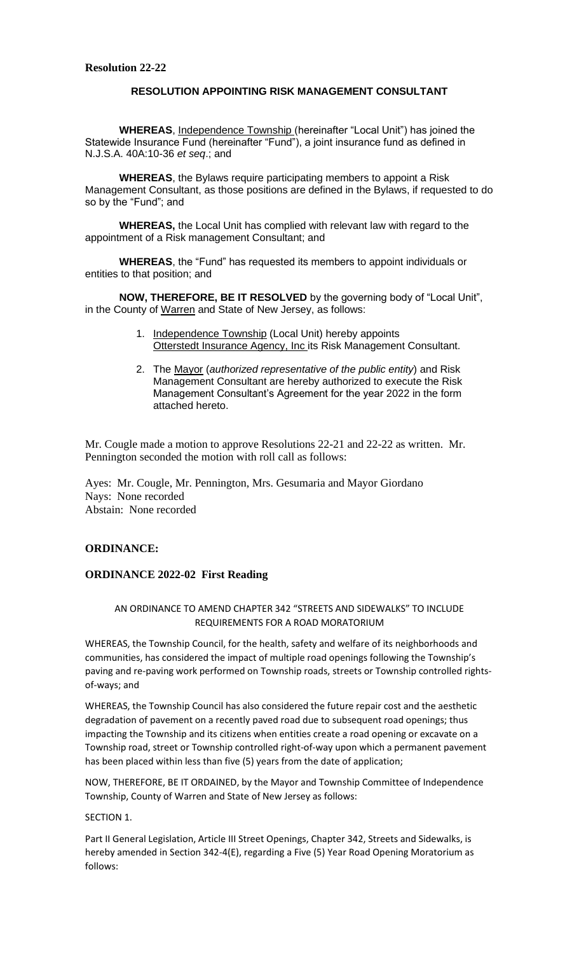# **RESOLUTION APPOINTING RISK MANAGEMENT CONSULTANT**

**WHEREAS**, Independence Township (hereinafter "Local Unit") has joined the Statewide Insurance Fund (hereinafter "Fund"), a joint insurance fund as defined in N.J.S.A. 40A:10-36 *et seq*.; and

**WHEREAS**, the Bylaws require participating members to appoint a Risk Management Consultant, as those positions are defined in the Bylaws, if requested to do so by the "Fund"; and

**WHEREAS,** the Local Unit has complied with relevant law with regard to the appointment of a Risk management Consultant; and

**WHEREAS**, the "Fund" has requested its members to appoint individuals or entities to that position; and

**NOW, THEREFORE, BE IT RESOLVED** by the governing body of "Local Unit", in the County of Warren and State of New Jersey, as follows:

- 1. Independence Township (Local Unit) hereby appoints Otterstedt Insurance Agency, Inc its Risk Management Consultant.
- 2. The Mayor (*authorized representative of the public entity*) and Risk Management Consultant are hereby authorized to execute the Risk Management Consultant's Agreement for the year 2022 in the form attached hereto.

Mr. Cougle made a motion to approve Resolutions 22-21 and 22-22 as written. Mr. Pennington seconded the motion with roll call as follows:

Ayes: Mr. Cougle, Mr. Pennington, Mrs. Gesumaria and Mayor Giordano Nays: None recorded Abstain: None recorded

# **ORDINANCE:**

#### **ORDINANCE 2022-02 First Reading**

AN ORDINANCE TO AMEND CHAPTER 342 "STREETS AND SIDEWALKS" TO INCLUDE REQUIREMENTS FOR A ROAD MORATORIUM

WHEREAS, the Township Council, for the health, safety and welfare of its neighborhoods and communities, has considered the impact of multiple road openings following the Township's paving and re-paving work performed on Township roads, streets or Township controlled rightsof-ways; and

WHEREAS, the Township Council has also considered the future repair cost and the aesthetic degradation of pavement on a recently paved road due to subsequent road openings; thus impacting the Township and its citizens when entities create a road opening or excavate on a Township road, street or Township controlled right-of-way upon which a permanent pavement has been placed within less than five (5) years from the date of application;

NOW, THEREFORE, BE IT ORDAINED, by the Mayor and Township Committee of Independence Township, County of Warren and State of New Jersey as follows:

#### SECTION 1.

Part II General Legislation, Article III Street Openings, Chapter 342, Streets and Sidewalks, is hereby amended in Section 342-4(E), regarding a Five (5) Year Road Opening Moratorium as follows: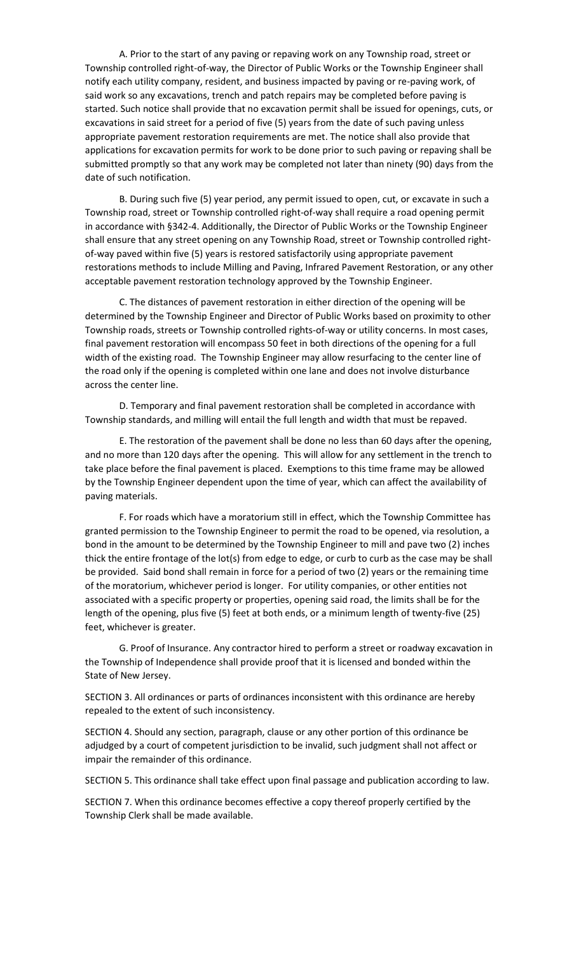A. Prior to the start of any paving or repaving work on any Township road, street or Township controlled right-of-way, the Director of Public Works or the Township Engineer shall notify each utility company, resident, and business impacted by paving or re-paving work, of said work so any excavations, trench and patch repairs may be completed before paving is started. Such notice shall provide that no excavation permit shall be issued for openings, cuts, or excavations in said street for a period of five (5) years from the date of such paving unless appropriate pavement restoration requirements are met. The notice shall also provide that applications for excavation permits for work to be done prior to such paving or repaving shall be submitted promptly so that any work may be completed not later than ninety (90) days from the date of such notification.

B. During such five (5) year period, any permit issued to open, cut, or excavate in such a Township road, street or Township controlled right-of-way shall require a road opening permit in accordance with §342-4. Additionally, the Director of Public Works or the Township Engineer shall ensure that any street opening on any Township Road, street or Township controlled rightof-way paved within five (5) years is restored satisfactorily using appropriate pavement restorations methods to include Milling and Paving, Infrared Pavement Restoration, or any other acceptable pavement restoration technology approved by the Township Engineer.

C. The distances of pavement restoration in either direction of the opening will be determined by the Township Engineer and Director of Public Works based on proximity to other Township roads, streets or Township controlled rights-of-way or utility concerns. In most cases, final pavement restoration will encompass 50 feet in both directions of the opening for a full width of the existing road. The Township Engineer may allow resurfacing to the center line of the road only if the opening is completed within one lane and does not involve disturbance across the center line.

D. Temporary and final pavement restoration shall be completed in accordance with Township standards, and milling will entail the full length and width that must be repaved.

E. The restoration of the pavement shall be done no less than 60 days after the opening, and no more than 120 days after the opening. This will allow for any settlement in the trench to take place before the final pavement is placed. Exemptions to this time frame may be allowed by the Township Engineer dependent upon the time of year, which can affect the availability of paving materials.

F. For roads which have a moratorium still in effect, which the Township Committee has granted permission to the Township Engineer to permit the road to be opened, via resolution, a bond in the amount to be determined by the Township Engineer to mill and pave two (2) inches thick the entire frontage of the lot(s) from edge to edge, or curb to curb as the case may be shall be provided. Said bond shall remain in force for a period of two (2) years or the remaining time of the moratorium, whichever period is longer. For utility companies, or other entities not associated with a specific property or properties, opening said road, the limits shall be for the length of the opening, plus five (5) feet at both ends, or a minimum length of twenty-five (25) feet, whichever is greater.

G. Proof of Insurance. Any contractor hired to perform a street or roadway excavation in the Township of Independence shall provide proof that it is licensed and bonded within the State of New Jersey.

SECTION 3. All ordinances or parts of ordinances inconsistent with this ordinance are hereby repealed to the extent of such inconsistency.

SECTION 4. Should any section, paragraph, clause or any other portion of this ordinance be adjudged by a court of competent jurisdiction to be invalid, such judgment shall not affect or impair the remainder of this ordinance.

SECTION 5. This ordinance shall take effect upon final passage and publication according to law.

SECTION 7. When this ordinance becomes effective a copy thereof properly certified by the Township Clerk shall be made available.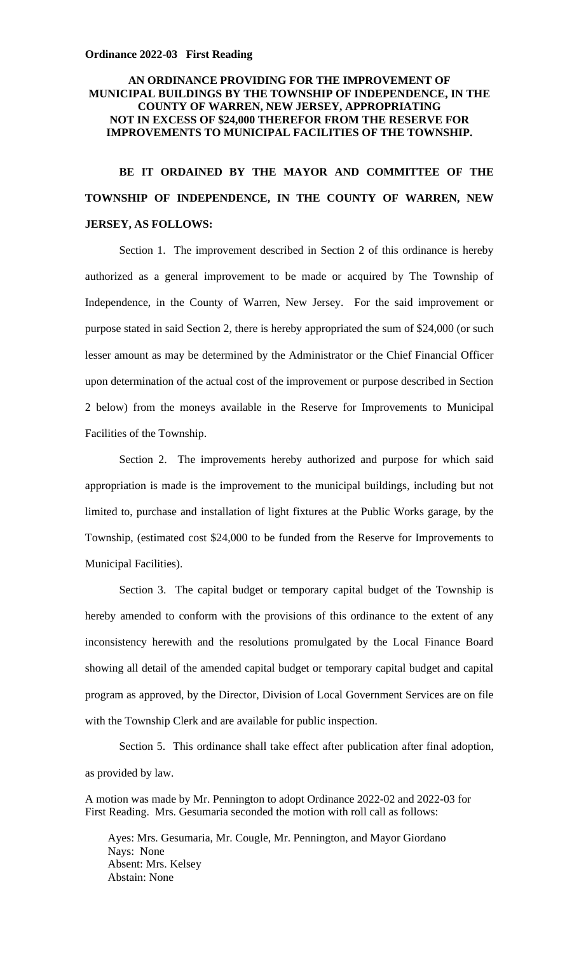#### **Ordinance 2022-03 First Reading**

# **AN ORDINANCE PROVIDING FOR THE IMPROVEMENT OF MUNICIPAL BUILDINGS BY THE TOWNSHIP OF INDEPENDENCE, IN THE COUNTY OF WARREN, NEW JERSEY, APPROPRIATING NOT IN EXCESS OF \$24,000 THEREFOR FROM THE RESERVE FOR IMPROVEMENTS TO MUNICIPAL FACILITIES OF THE TOWNSHIP.**

# **BE IT ORDAINED BY THE MAYOR AND COMMITTEE OF THE TOWNSHIP OF INDEPENDENCE, IN THE COUNTY OF WARREN, NEW JERSEY, AS FOLLOWS:**

Section 1. The improvement described in Section 2 of this ordinance is hereby authorized as a general improvement to be made or acquired by The Township of Independence, in the County of Warren, New Jersey. For the said improvement or purpose stated in said Section 2, there is hereby appropriated the sum of \$24,000 (or such lesser amount as may be determined by the Administrator or the Chief Financial Officer upon determination of the actual cost of the improvement or purpose described in Section 2 below) from the moneys available in the Reserve for Improvements to Municipal Facilities of the Township.

Section 2. The improvements hereby authorized and purpose for which said appropriation is made is the improvement to the municipal buildings, including but not limited to, purchase and installation of light fixtures at the Public Works garage, by the Township, (estimated cost \$24,000 to be funded from the Reserve for Improvements to Municipal Facilities).

Section 3. The capital budget or temporary capital budget of the Township is hereby amended to conform with the provisions of this ordinance to the extent of any inconsistency herewith and the resolutions promulgated by the Local Finance Board showing all detail of the amended capital budget or temporary capital budget and capital program as approved, by the Director, Division of Local Government Services are on file with the Township Clerk and are available for public inspection.

Section 5. This ordinance shall take effect after publication after final adoption, as provided by law.

A motion was made by Mr. Pennington to adopt Ordinance 2022-02 and 2022-03 for First Reading. Mrs. Gesumaria seconded the motion with roll call as follows:

 Ayes: Mrs. Gesumaria, Mr. Cougle, Mr. Pennington, and Mayor Giordano Nays: None Absent: Mrs. Kelsey Abstain: None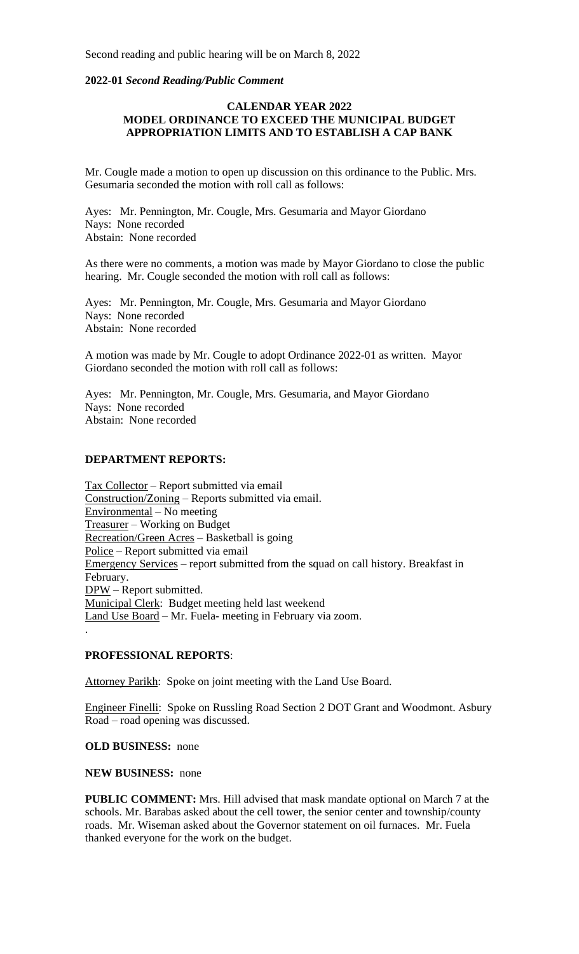#### **2022-01** *Second Reading/Public Comment*

### **CALENDAR YEAR 2022 MODEL ORDINANCE TO EXCEED THE MUNICIPAL BUDGET APPROPRIATION LIMITS AND TO ESTABLISH A CAP BANK**

Mr. Cougle made a motion to open up discussion on this ordinance to the Public. Mrs. Gesumaria seconded the motion with roll call as follows:

Ayes: Mr. Pennington, Mr. Cougle, Mrs. Gesumaria and Mayor Giordano Nays: None recorded Abstain: None recorded

As there were no comments, a motion was made by Mayor Giordano to close the public hearing. Mr. Cougle seconded the motion with roll call as follows:

Ayes: Mr. Pennington, Mr. Cougle, Mrs. Gesumaria and Mayor Giordano Nays: None recorded Abstain: None recorded

A motion was made by Mr. Cougle to adopt Ordinance 2022-01 as written. Mayor Giordano seconded the motion with roll call as follows:

Ayes: Mr. Pennington, Mr. Cougle, Mrs. Gesumaria, and Mayor Giordano Nays: None recorded Abstain: None recorded

### **DEPARTMENT REPORTS:**

Tax Collector – Report submitted via email Construction/Zoning – Reports submitted via email. Environmental – No meeting Treasurer – Working on Budget Recreation/Green Acres – Basketball is going Police – Report submitted via email Emergency Services – report submitted from the squad on call history. Breakfast in February. DPW – Report submitted. Municipal Clerk: Budget meeting held last weekend Land Use Board – Mr. Fuela- meeting in February via zoom.

#### **PROFESSIONAL REPORTS**:

.

Attorney Parikh: Spoke on joint meeting with the Land Use Board.

Engineer Finelli: Spoke on Russling Road Section 2 DOT Grant and Woodmont. Asbury Road – road opening was discussed.

#### **OLD BUSINESS:** none

#### **NEW BUSINESS:** none

**PUBLIC COMMENT:** Mrs. Hill advised that mask mandate optional on March 7 at the schools. Mr. Barabas asked about the cell tower, the senior center and township/county roads. Mr. Wiseman asked about the Governor statement on oil furnaces. Mr. Fuela thanked everyone for the work on the budget.